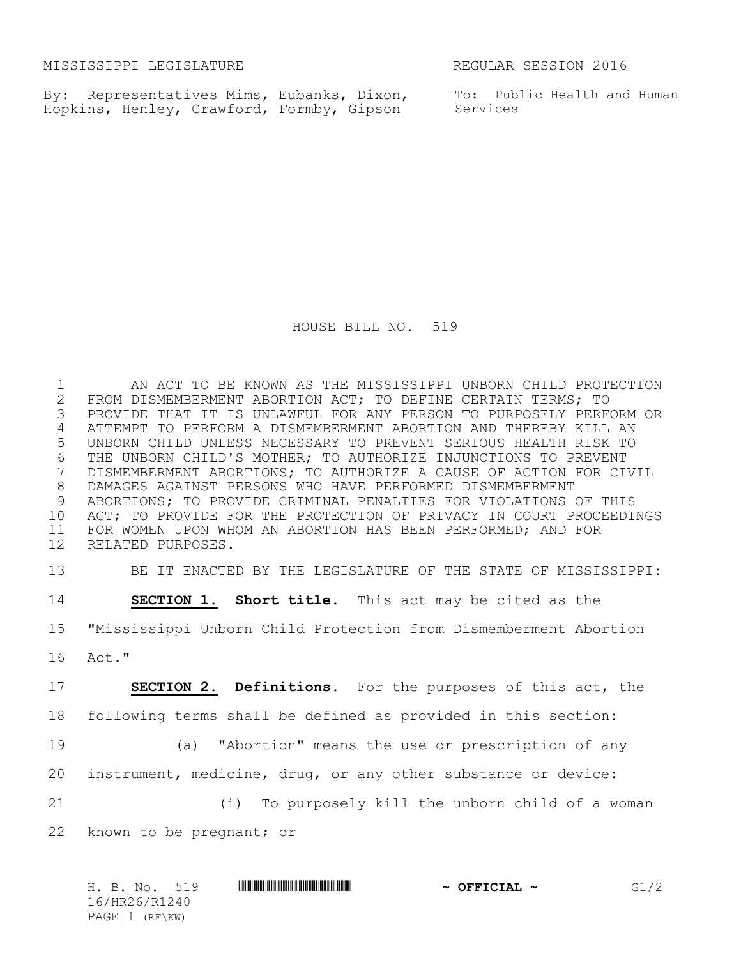MISSISSIPPI LEGISLATURE REGULAR SESSION 2016

By: Representatives Mims, Eubanks, Dixon, Hopkins, Henley, Crawford, Formby, Gipson

To: Public Health and Human Services

HOUSE BILL NO. 519

1 AN ACT TO BE KNOWN AS THE MISSISSIPPI UNBORN CHILD PROTECTION<br>2 FROM DISMEMBERMENT ABORTION ACT; TO DEFINE CERTAIN TERMS; TO 2 FROM DISMEMBERMENT ABORTION ACT; TO DEFINE CERTAIN TERMS; TO<br>3 PROVIDE THAT IT IS UNLAWFUL FOR ANY PERSON TO PURPOSELY PERFO PROVIDE THAT IT IS UNLAWFUL FOR ANY PERSON TO PURPOSELY PERFORM OR ATTEMPT TO PERFORM A DISMEMBERMENT ABORTION AND THEREBY KILL AN UNBORN CHILD UNLESS NECESSARY TO PREVENT SERIOUS HEALTH RISK TO 6 THE UNBORN CHILD'S MOTHER; TO AUTHORIZE INJUNCTIONS TO PREVENT<br>7 DISMEMBERMENT ABORTIONS; TO AUTHORIZE A CAUSE OF ACTION FOR CI DISMEMBERMENT ABORTIONS; TO AUTHORIZE A CAUSE OF ACTION FOR CIVIL DAMAGES AGAINST PERSONS WHO HAVE PERFORMED DISMEMBERMENT ABORTIONS; TO PROVIDE CRIMINAL PENALTIES FOR VIOLATIONS OF THIS ACT; TO PROVIDE FOR THE PROTECTION OF PRIVACY IN COURT PROCEEDINGS FOR WOMEN UPON WHOM AN ABORTION HAS BEEN PERFORMED; AND FOR RELATED PURPOSES.

 BE IT ENACTED BY THE LEGISLATURE OF THE STATE OF MISSISSIPPI: **SECTION 1. Short title.** This act may be cited as the "Mississippi Unborn Child Protection from Dismemberment Abortion Act." **SECTION 2. Definitions.** For the purposes of this act, the

following terms shall be defined as provided in this section:

 (a) "Abortion" means the use or prescription of any instrument, medicine, drug, or any other substance or device:

(i) To purposely kill the unborn child of a woman

known to be pregnant; or

| H. B. No.      | 519 | OFFICIAL $\sim$<br>$\sim$ |  |
|----------------|-----|---------------------------|--|
| 16/HR26/R1240  |     |                           |  |
| PAGE 1 (RF\KW) |     |                           |  |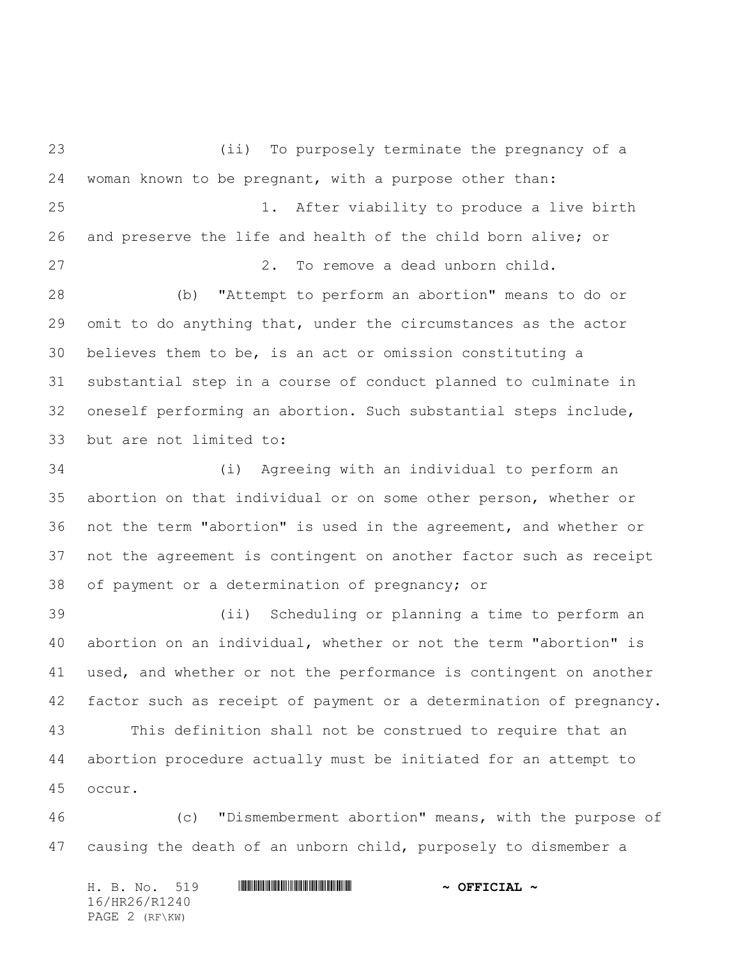(ii) To purposely terminate the pregnancy of a woman known to be pregnant, with a purpose other than: 1. After viability to produce a live birth and preserve the life and health of the child born alive; or 2. To remove a dead unborn child. (b) "Attempt to perform an abortion" means to do or omit to do anything that, under the circumstances as the actor believes them to be, is an act or omission constituting a substantial step in a course of conduct planned to culminate in oneself performing an abortion. Such substantial steps include, but are not limited to: (i) Agreeing with an individual to perform an abortion on that individual or on some other person, whether or not the term "abortion" is used in the agreement, and whether or not the agreement is contingent on another factor such as receipt of payment or a determination of pregnancy; or (ii) Scheduling or planning a time to perform an abortion on an individual, whether or not the term "abortion" is used, and whether or not the performance is contingent on another factor such as receipt of payment or a determination of pregnancy. This definition shall not be construed to require that an abortion procedure actually must be initiated for an attempt to occur. (c) "Dismemberment abortion" means, with the purpose of

causing the death of an unborn child, purposely to dismember a

H. B. No. 519 \*HR26/R1240\* **~ OFFICIAL ~** 16/HR26/R1240 PAGE 2 (RF\KW)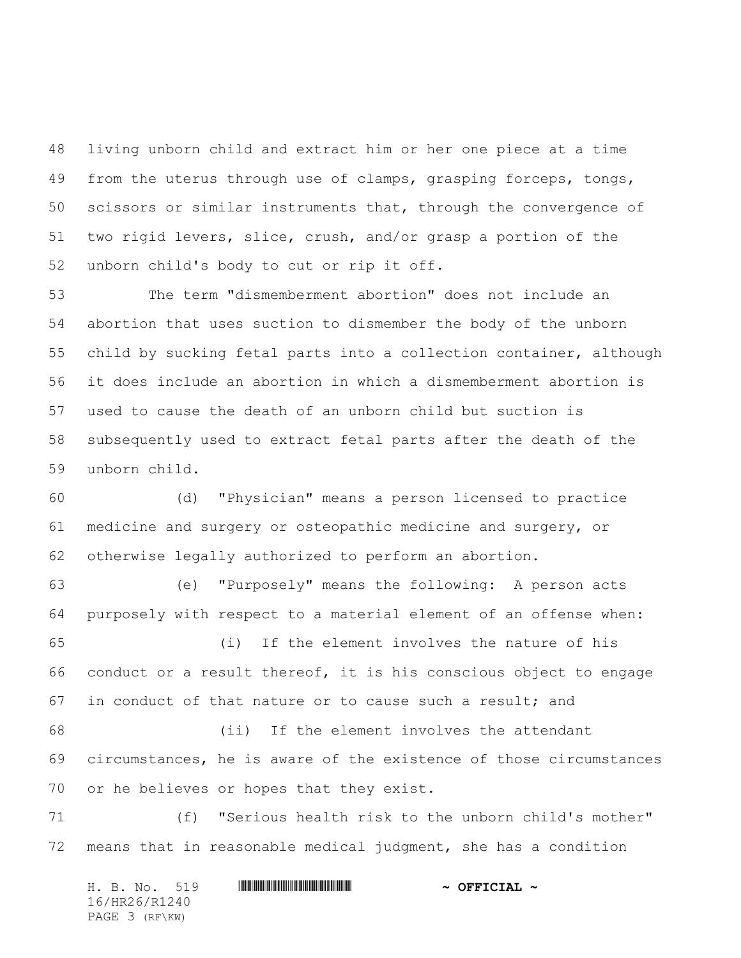living unborn child and extract him or her one piece at a time from the uterus through use of clamps, grasping forceps, tongs, scissors or similar instruments that, through the convergence of two rigid levers, slice, crush, and/or grasp a portion of the unborn child's body to cut or rip it off.

53 The term "dismemberment abortion" does not include an abortion that uses suction to dismember the body of the unborn child by sucking fetal parts into a collection container, although it does include an abortion in which a dismemberment abortion is used to cause the death of an unborn child but suction is subsequently used to extract fetal parts after the death of the unborn child.

 (d) "Physician" means a person licensed to practice medicine and surgery or osteopathic medicine and surgery, or otherwise legally authorized to perform an abortion.

 (e) "Purposely" means the following: A person acts purposely with respect to a material element of an offense when: (i) If the element involves the nature of his conduct or a result thereof, it is his conscious object to engage in conduct of that nature or to cause such a result; and (ii) If the element involves the attendant circumstances, he is aware of the existence of those circumstances or he believes or hopes that they exist.

 (f) "Serious health risk to the unborn child's mother" means that in reasonable medical judgment, she has a condition

|  | H. B. No. 519  |  | $\sim$ OFFICIAL $\sim$ |
|--|----------------|--|------------------------|
|  | 16/HR26/R1240  |  |                        |
|  | PAGE 3 (RF\KW) |  |                        |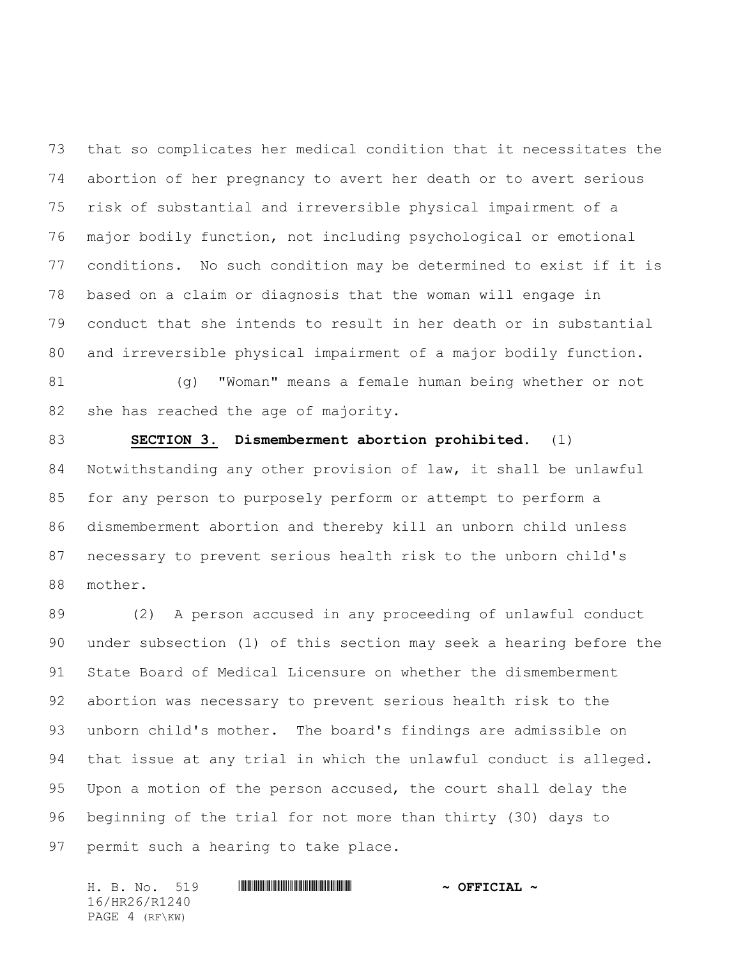that so complicates her medical condition that it necessitates the abortion of her pregnancy to avert her death or to avert serious risk of substantial and irreversible physical impairment of a major bodily function, not including psychological or emotional conditions. No such condition may be determined to exist if it is based on a claim or diagnosis that the woman will engage in conduct that she intends to result in her death or in substantial and irreversible physical impairment of a major bodily function.

 (g) "Woman" means a female human being whether or not she has reached the age of majority.

 **SECTION 3. Dismemberment abortion prohibited.** (1) Notwithstanding any other provision of law, it shall be unlawful for any person to purposely perform or attempt to perform a dismemberment abortion and thereby kill an unborn child unless necessary to prevent serious health risk to the unborn child's mother.

 (2) A person accused in any proceeding of unlawful conduct under subsection (1) of this section may seek a hearing before the State Board of Medical Licensure on whether the dismemberment abortion was necessary to prevent serious health risk to the unborn child's mother. The board's findings are admissible on that issue at any trial in which the unlawful conduct is alleged. Upon a motion of the person accused, the court shall delay the beginning of the trial for not more than thirty (30) days to permit such a hearing to take place.

H. B. No. 519 \*HR26/R1240\* **~ OFFICIAL ~** 16/HR26/R1240 PAGE 4 (RF\KW)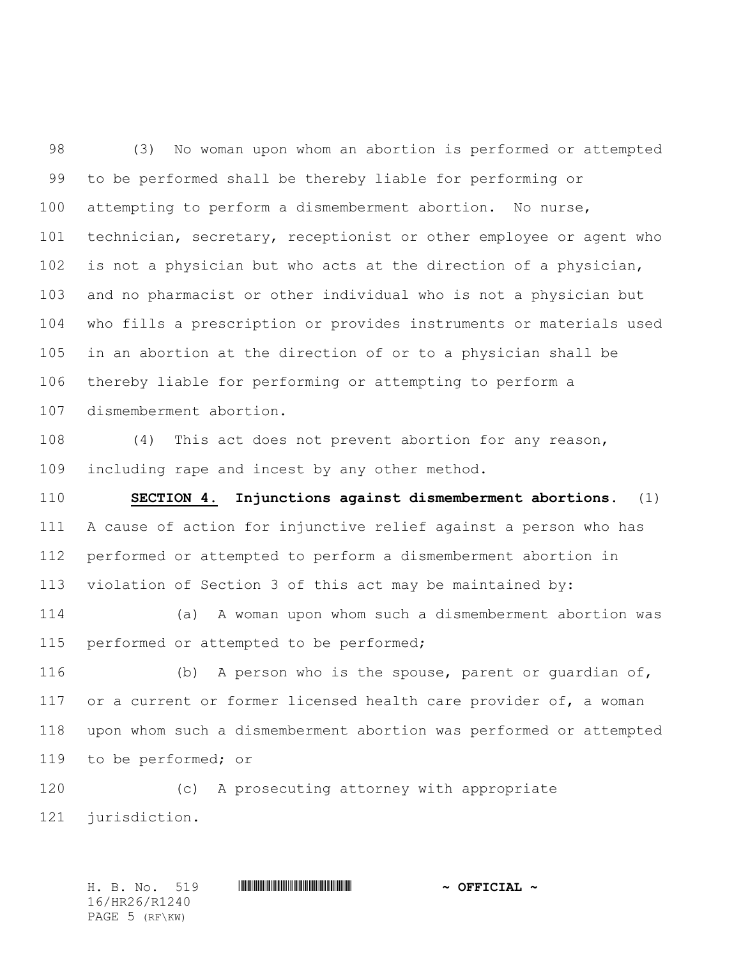(3) No woman upon whom an abortion is performed or attempted to be performed shall be thereby liable for performing or attempting to perform a dismemberment abortion. No nurse, technician, secretary, receptionist or other employee or agent who is not a physician but who acts at the direction of a physician, and no pharmacist or other individual who is not a physician but who fills a prescription or provides instruments or materials used in an abortion at the direction of or to a physician shall be thereby liable for performing or attempting to perform a dismemberment abortion.

 (4) This act does not prevent abortion for any reason, including rape and incest by any other method.

 **SECTION 4. Injunctions against dismemberment abortions.** (1) A cause of action for injunctive relief against a person who has performed or attempted to perform a dismemberment abortion in violation of Section 3 of this act may be maintained by:

 (a) A woman upon whom such a dismemberment abortion was 115 performed or attempted to be performed;

 (b) A person who is the spouse, parent or guardian of, 117 or a current or former licensed health care provider of, a woman upon whom such a dismemberment abortion was performed or attempted to be performed; or

 (c) A prosecuting attorney with appropriate jurisdiction.

H. B. No. 519 \*HR26/R1240\* **~ OFFICIAL ~** 16/HR26/R1240 PAGE 5 (RF\KW)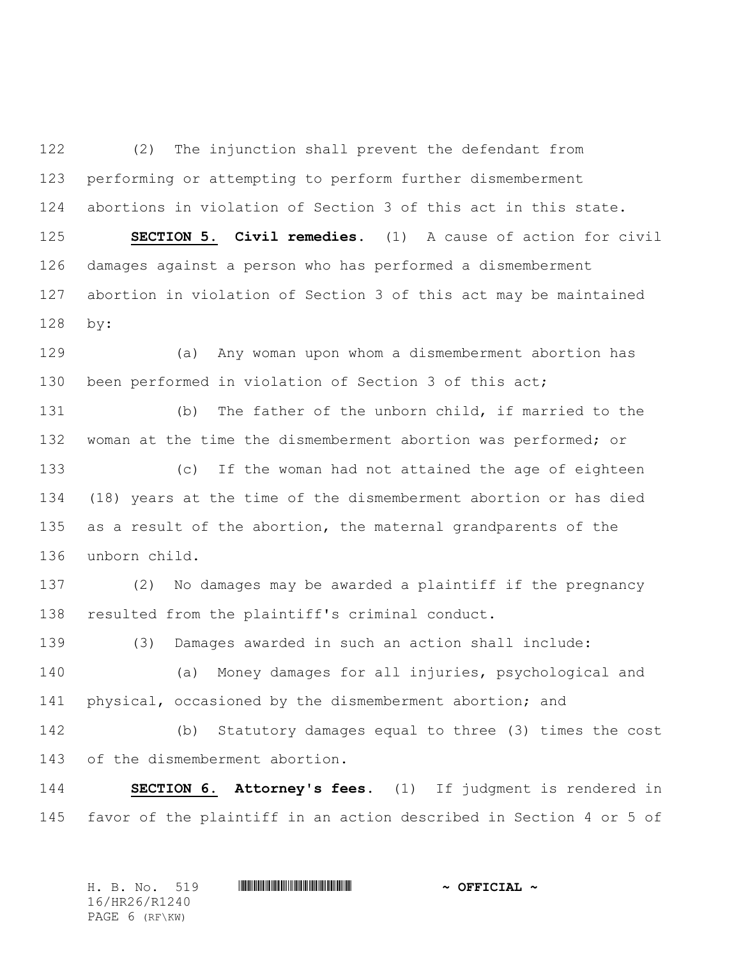(2) The injunction shall prevent the defendant from performing or attempting to perform further dismemberment abortions in violation of Section 3 of this act in this state. **SECTION 5. Civil remedies.** (1) A cause of action for civil damages against a person who has performed a dismemberment abortion in violation of Section 3 of this act may be maintained by:

 (a) Any woman upon whom a dismemberment abortion has been performed in violation of Section 3 of this act;

 (b) The father of the unborn child, if married to the woman at the time the dismemberment abortion was performed; or

 (c) If the woman had not attained the age of eighteen (18) years at the time of the dismemberment abortion or has died as a result of the abortion, the maternal grandparents of the unborn child.

 (2) No damages may be awarded a plaintiff if the pregnancy resulted from the plaintiff's criminal conduct.

(3) Damages awarded in such an action shall include:

 (a) Money damages for all injuries, psychological and physical, occasioned by the dismemberment abortion; and

 (b) Statutory damages equal to three (3) times the cost of the dismemberment abortion.

 **SECTION 6. Attorney's fees.** (1) If judgment is rendered in favor of the plaintiff in an action described in Section 4 or 5 of

| H. B. No. 519  |  | $\sim$ OFFICIAL $\sim$ |  |  |  |  |  |
|----------------|--|------------------------|--|--|--|--|--|
| 16/HR26/R1240  |  |                        |  |  |  |  |  |
| PAGE 6 (RF\KW) |  |                        |  |  |  |  |  |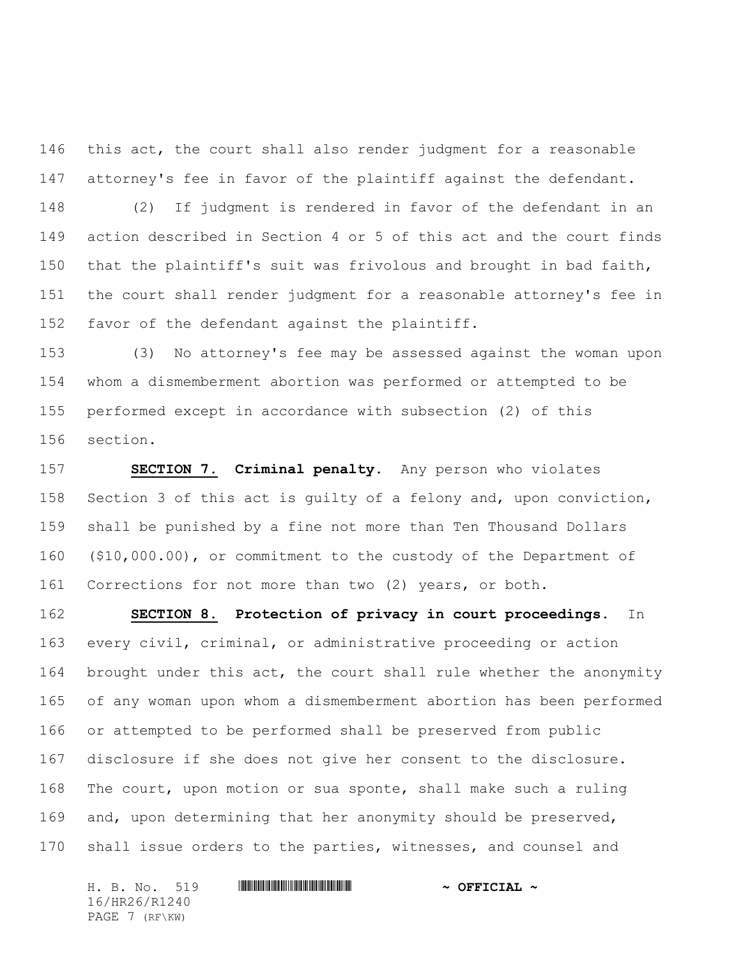this act, the court shall also render judgment for a reasonable attorney's fee in favor of the plaintiff against the defendant.

 (2) If judgment is rendered in favor of the defendant in an action described in Section 4 or 5 of this act and the court finds that the plaintiff's suit was frivolous and brought in bad faith, the court shall render judgment for a reasonable attorney's fee in favor of the defendant against the plaintiff.

 (3) No attorney's fee may be assessed against the woman upon whom a dismemberment abortion was performed or attempted to be performed except in accordance with subsection (2) of this section.

 **SECTION 7. Criminal penalty.** Any person who violates Section 3 of this act is guilty of a felony and, upon conviction, shall be punished by a fine not more than Ten Thousand Dollars (\$10,000.00), or commitment to the custody of the Department of Corrections for not more than two (2) years, or both.

 **SECTION 8. Protection of privacy in court proceedings.** In every civil, criminal, or administrative proceeding or action 164 brought under this act, the court shall rule whether the anonymity of any woman upon whom a dismemberment abortion has been performed or attempted to be performed shall be preserved from public disclosure if she does not give her consent to the disclosure. The court, upon motion or sua sponte, shall make such a ruling and, upon determining that her anonymity should be preserved, shall issue orders to the parties, witnesses, and counsel and

H. B. No. 519 \*HR26/R1240\* **~ OFFICIAL ~** 16/HR26/R1240 PAGE 7 (RF\KW)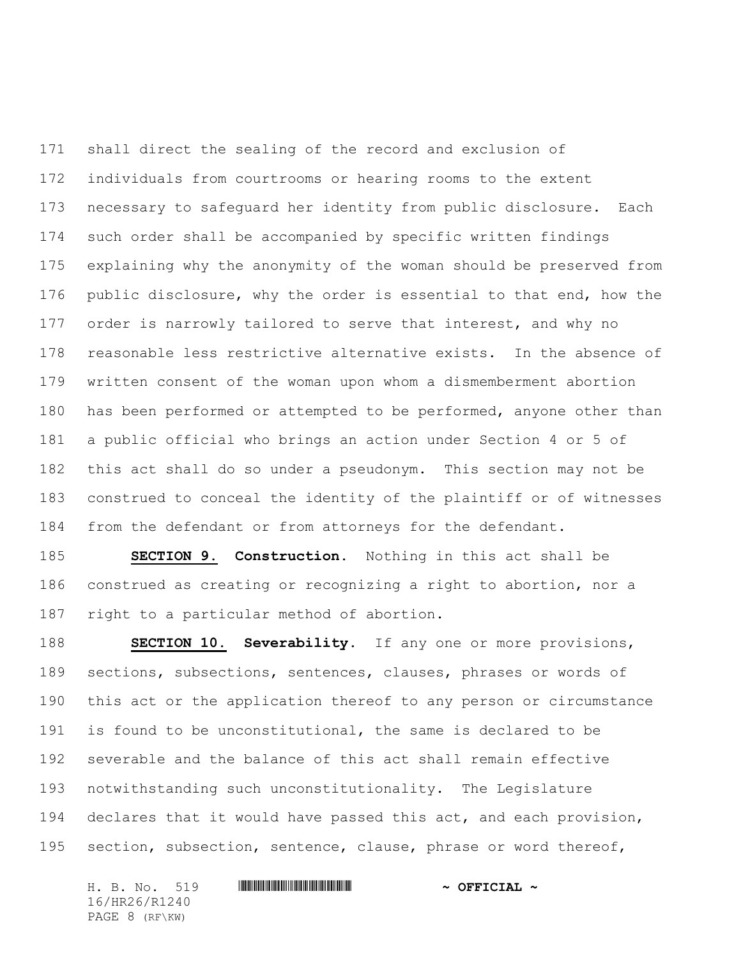shall direct the sealing of the record and exclusion of individuals from courtrooms or hearing rooms to the extent necessary to safeguard her identity from public disclosure. Each such order shall be accompanied by specific written findings explaining why the anonymity of the woman should be preserved from public disclosure, why the order is essential to that end, how the order is narrowly tailored to serve that interest, and why no reasonable less restrictive alternative exists. In the absence of written consent of the woman upon whom a dismemberment abortion has been performed or attempted to be performed, anyone other than a public official who brings an action under Section 4 or 5 of this act shall do so under a pseudonym. This section may not be construed to conceal the identity of the plaintiff or of witnesses from the defendant or from attorneys for the defendant.

 **SECTION 9. Construction.** Nothing in this act shall be construed as creating or recognizing a right to abortion, nor a right to a particular method of abortion.

**SECTION 10. Severability.** If any one or more provisions, sections, subsections, sentences, clauses, phrases or words of this act or the application thereof to any person or circumstance is found to be unconstitutional, the same is declared to be severable and the balance of this act shall remain effective notwithstanding such unconstitutionality. The Legislature declares that it would have passed this act, and each provision, section, subsection, sentence, clause, phrase or word thereof,

H. B. No. 519 \*HR26/R1240\* **~ OFFICIAL ~** 16/HR26/R1240 PAGE 8 (RF\KW)